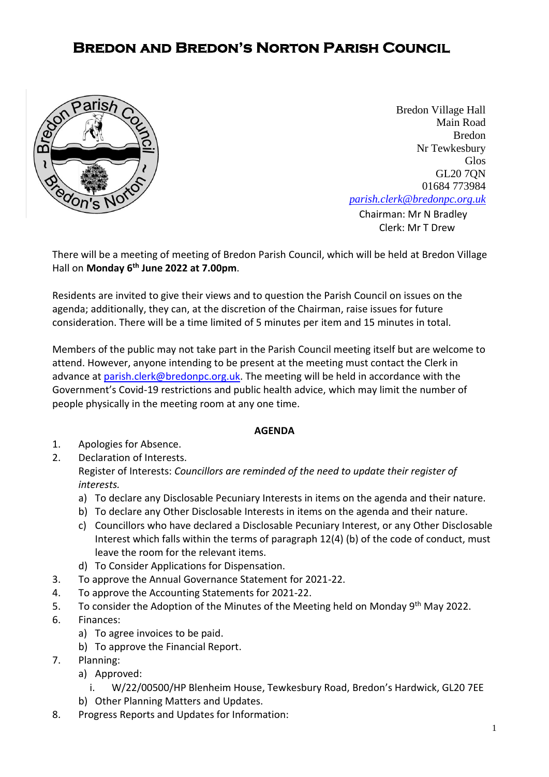## **Bredon and Bredon's Norton Parish Council**



**[Chairman:](mailto:parish.clerk@bredonpc.org.uk.com) Mr N Bradley** Bredon Village Hall Main Road Bredon Nr Tewkesbury Glos GL20 7QN 01684 773984 *[parish.clerk@bredonpc.org.uk](mailto:parish.clerk@bredonpc.org.uk.com)*

Clerk: Mr T Drew

There will be a meeting of meeting of Bredon Parish Council, which will be held at Bredon Village Hall on **Monday 6 th June 2022 at 7.00pm**.

Residents are invited to give their views and to question the Parish Council on issues on the agenda; additionally, they can, at the discretion of the Chairman, raise issues for future consideration. There will be a time limited of 5 minutes per item and 15 minutes in total.

Members of the public may not take part in the Parish Council meeting itself but are welcome to attend. However, anyone intending to be present at the meeting must contact the Clerk in advance at [parish.clerk@bredonpc.org.uk.](mailto:parish.clerk@bredonpc.org.uk) The meeting will be held in accordance with the Government's Covid-19 restrictions and public health advice, which may limit the number of people physically in the meeting room at any one time.

## **AGENDA**

- 1. Apologies for Absence.
- 2. Declaration of Interests. Register of Interests: *Councillors are reminded of the need to update their register of interests.* 
	- a) To declare any Disclosable Pecuniary Interests in items on the agenda and their nature.
	- b) To declare any Other Disclosable Interests in items on the agenda and their nature.
	- c) Councillors who have declared a Disclosable Pecuniary Interest, or any Other Disclosable Interest which falls within the terms of paragraph 12(4) (b) of the code of conduct, must leave the room for the relevant items.
	- d) To Consider Applications for Dispensation.
- 3. To approve the Annual Governance Statement for 2021-22.
- 4. To approve the Accounting Statements for 2021-22.
- 5. To consider the Adoption of the Minutes of the Meeting held on Monday 9<sup>th</sup> May 2022.
- 6. Finances:
	- a) To agree invoices to be paid.
	- b) To approve the Financial Report.
- 7. Planning:
	- a) Approved:
		- i. W/22/00500/HP Blenheim House, Tewkesbury Road, Bredon's Hardwick, GL20 7EE
	- b) Other Planning Matters and Updates.
- 8. Progress Reports and Updates for Information: